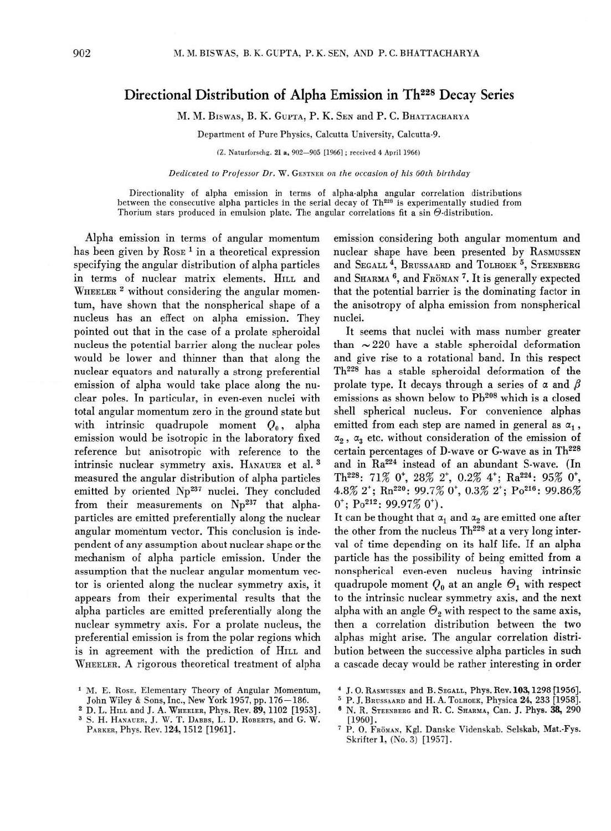## **Directional Distribution of Alpha Emission in Th<sup>228</sup> Decay Series**

**M . M . BISWAS , B . K . GUPTA , P . K . SE N** an d **P . C . BHATTACHARYA** 

**Department of Pure Physics, Calcutta University, Calcutta-9.** 

*(Z.* **Naturforschg. 21 a, 902—905 [1966] ; received 4 April 19661** 

*Dedicated to Professor Dr.* **W . GENTNER** *on the occasion of his 60th birthday* 

**Directionality of alpha emission in terms of alpha-alpha angular correlation distributions between the consecutive alpha particles in the serial decay of Th<sup>228</sup> is experimentally studied from Thorium stars produced in emulsion plate. The angular correlations fit a sin ©-distribution.** 

Alpha emission in terms of angular momentum has been given by **ROSE** 1 in a theoretical expression specifying the angular distribution of alpha particles in terms of nuclear matrix elements. **HILL** and **WHEELER** 2 without considering the angular momentum, have shown that the nonspherical shape of a nucleus has an effect on alpha emission. They pointed out that in the case of a prolate spheroidal nucleus the potential barrier along the nuclear poles would be lower and thinner than that along the nuclear equators and naturally a strong preferential emission of alpha would take place along the nuclear poles. In particular, in even-even nuclei with total angular momentum zero in the ground state but with intrinsic quadrupole moment  $Q_0$ , alpha emission would be isotropic in the laboratory fixed reference but anisotropic with reference to the intrinsic nuclear symmetry axis. **HANAUER** et al. 3 measured the angular distribution of alpha particles emitted by oriented Np<sup>237</sup> nuclei. They concluded from their measurements on  $Np^{237}$  that alphaparticles are emitted preferentially along the nuclear angular momentum vector. This conclusion is independent of any assumption about nuclear shape or the mechanism of alpha particle emission. Under the assumption that the nuclear angular momentum vector is oriented along the nuclear symmetry axis, it appears from their experimental results that the alpha particles are emitted preferentially along the nuclear symmetry axis. For a prolate nucleus, the preferential emission is from the polar regions which is in agreement with the prediction of **HILL** and **WHEELER**. A rigorous theoretical treatment of alpha

emission considering both angular momentum and nuclear shape have been presented by **RASMUSSEN**  a n d **SEGALL<sup>4</sup> , BRUSSAAR D** an d **TOLHOE K<sup>5</sup> , STEENBERG**  and SHARMA<sup>6</sup>, and FRÖMAN<sup>7</sup>. It is generally expected that the potential barrier is the dominating factor in the anisotropy of alpha emission from nonspherical nuclei.

It seems that nuclei with mass number greater than  $\sim$  220 have a stable spheroidal deformation and give rise to a rotational band. In this respect Th<sup>228</sup> has a stable spheroidal deformation of the prolate type. It decays through a series of a and *ß*  emissions as shown below to Pb<sup>208</sup> which is a closed shell spherical nucleus. For convenience alphas emitted from each step are named in general as  $\alpha_1$ ,  $a_2$ ,  $a_3$  etc. without consideration of the emission of certain percentages of D-wave or G-wave as in Th<sup>228</sup> and in Ra<sup>224</sup> instead of an abundant S-wave. (In Th<sup>228</sup>: 71% 0<sup>+</sup>, 28% 2<sup>+</sup>, 0.2% 4<sup>+</sup>; Ra<sup>224</sup>: 95% 0<sup>+</sup>, 4.8% 2<sup>+</sup>; Rn<sup>220</sup>: 99.7% 0<sup>+</sup>, 0.3% 2<sup>+</sup>; Po<sup>216</sup>: 99.86%  $0^{\circ}$ ; Po<sup>212</sup>: 99.97%  $0^{\circ}$ ).

It can be thought that  $\alpha_1$  and  $\alpha_2$  are emitted one after the other from the nucleus  $Th<sup>228</sup>$  at a very long interval of time depending on its half life. If an alpha particle has the possibility of being emitted from a nonspherical even-even nucleus having intrinsic quadrupole moment  $Q_0$  at an angle  $\Theta_1$  with respect to the intrinsic nuclear symmetry axis, and the next alpha with an angle  $\Theta_2$  with respect to the same axis, then a correlation distribution between the two alphas might arise. The angular correlation distribution between the successive alpha particles in such a cascade decay would be rather interesting in order

- **5 P. J. BRUSSAARD and H. A. TOLHOEK, Physica 24, 233 [1958].**
- **6 N. R. STEENBERG and R. C. SHARMA, Can. J. Phys. 38 , 290 [I960].**

**<sup>1</sup> M. E. ROSE. Elementary Theory of Angular Momentum, John Wiley & Sons, Inc., New York 1957, pp. 176-186 .** 

<sup>&</sup>lt;sup>2</sup> D. L. HILL and J. A. WHEELER, Phys. Rev. 89, 1102 [1953].<br><sup>3</sup> S. H. HANAUER, J. W. T. DABBS, L. D. ROBERTS, and G. W.

**PARKER, Phys. Rev. 124,1512 [1961].** 

**<sup>4</sup> J. O. RASMUSSEN and B. SEGALL, Phys. Rev. 103, 129 8 [1956].** 

**<sup>7</sup> P. O. FRÖMAN, Kgl. Danske Videnskab. Selskab, Mat.-Fys. Skrifter 1, (No. 3) [1957].**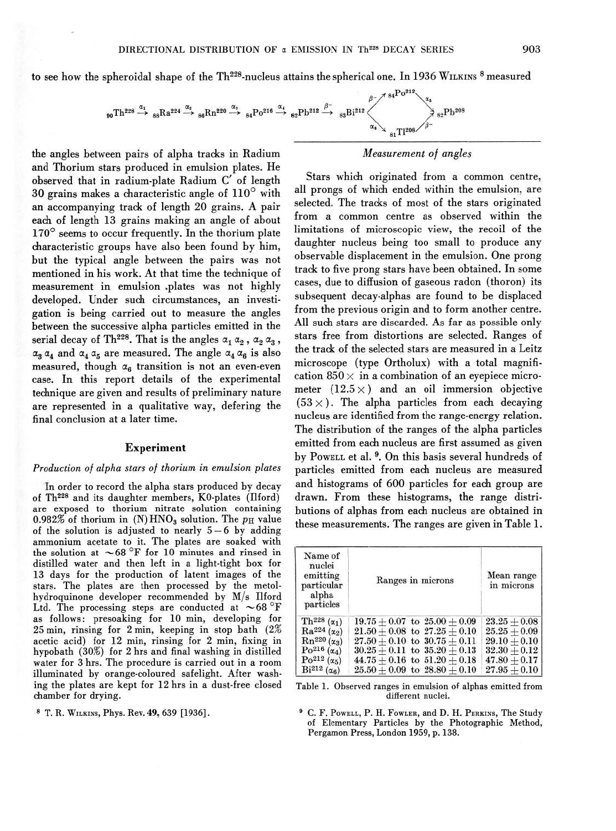to see how the spheroidal shape of the Th228-nucleus attains the spherical one. In 1936 W**ILKINS** 8 measured

**TH228ÜV fisRa224 ^ pn220 ^ P<)21. ü i p <sup>b</sup> « » ^ ßi» « < )^Pb 2 0 <sup>9</sup>**

the angles between pairs of alpha tracks in Radium and Thorium stars produced in emulsion plates. He observed that in radium-plate Radium C' of length 30 grains makes a characteristic angle of  $110^{\circ}$  with an accompanying trade of length 20 grains. A pair each of length 13 grains making an angle of about 170° seems to occur frequently. In the thorium plate characteristic groups have also been found by him, but the typical angle between the pairs was not mentioned in his work. At that time the technique of measurement in emulsion .plates was not highly developed. Under such circumstances, an investigation is being carried out to measure the angles between the successive alpha particles emitted in the serial decay of Th<sup>228</sup>. That is the angles  $\alpha_1$ ,  $\alpha_2$ ,  $\alpha_3$ ,  $\alpha_4$ ,  $\alpha_3 \alpha_4$  and  $\alpha_4 \alpha_5$  are measured. The angle  $\alpha_4 \alpha_6$  is also measured, though  $\alpha_6$  transition is not an even-even case. In this report details of the experimental technique are given and results of preliminary nature are represented in a qualitative way, defering the final conclusion at a later time.

#### **Experiment**

### *Production of alpha stars of thorium in emulsion plates*

In order to record the alpha stars produced by decay of Th228 and its daughter members, K0-plates (Ilford) are exposed to thorium nitrate solution containing 0.982% of thorium in  $(N) HNO<sub>3</sub>$  solution. The  $p_H$  value of the solution is adjusted to nearly  $5-6$  by adding ammonium acetate to it. The plates are soaked with the solution at  $\sim 68$  <sup>o</sup>F for 10 minutes and rinsed in distilled water and then left in a light-tight box for 13 days for the production of latent images of the stars. The plates are then processed by the metolhydroquinone developer recommended by M/s Ilford Ltd. The processing steps are conducted at  $~68$  °F as follows: presoaking for 10 min, developing for 25 min, rinsing for 2 min, keeping in stop bath (2% acetic acid) for 12 min, rinsing for 2 min, fixing in hypobath (30%) for 2 hrs and final washing in distilled water for 3 hrs. The procedure is carried out in a room illuminated by orange-coloured safelight. After washing the plates are kept for 12 hrs in a dust-free closed chamber for drying.

**8 T. R. WILKINS, Phys. Rev.<sup>49</sup> , 63 9 [1936] .** 

# *Measurement of angles*

Stars which originated from a common centre, all prongs of which ended within the emulsion, are selected. The tracks of most of the stars originated from a common centre as observed within the limitations of microscopic view, the recoil of the daughter nucleus being too small to produce any observable displacement in the emulsion. One prong track to five prong stars have been obtained. In some cases, due to diffusion of gaseous radon (thoron) its subsequent decay-alphas are found to be displaced from the previous origin and to form another centre. All such stars are discarded. As far as possible only stars free from distortions are selected. Ranges of the trade of the selected stars are measured in a Leitz microscope (type Ortholux) with a total magnification  $850 \times$  in a combination of an eyepiece micrometer  $(12.5 \times)$  and an oil immersion objective  $(53 \times)$ . The alpha particles from each decaying nucleus are identified from the range-energy relation. The distribution of the ranges of the alpha particles emitted from each nucleus are first assumed as given by Powell et al. ". On this basis several hundreds of particles emitted from each nucleus are measured and histograms of 600 particles for each group are drawn. From these histograms, the range distributions of alphas from each nucleus are obtained in these measurements. The ranges are given in Table 1.

| Name of<br>nuclei<br>emitting<br>particular<br>alpha<br>particles                                                                                      | Ranges in microns                                                                                                                                                                | Mean range<br>in microns                                                         |
|--------------------------------------------------------------------------------------------------------------------------------------------------------|----------------------------------------------------------------------------------------------------------------------------------------------------------------------------------|----------------------------------------------------------------------------------|
| Th <sup>228</sup> $(\alpha_1)$<br>$Ra^{224}(\alpha_2)$<br>$\text{Rn}^{220}$ ( $\alpha_3$ )<br>$Po^{216}(\alpha_4)$<br>Po <sup>212</sup> ( $\alpha_5$ ) | $19.75 + 0.07$ to $25.00 + 0.09$<br>$21.50 + 0.08$ to $27.25 + 0.10$<br>$27.50 + 0.10$ to $30.75 + 0.11$<br>$30.25 + 0.11$ to $35.20 + 0.13$<br>$44.75 + 0.16$ to $51.20 + 0.18$ | $23.25+0.08$<br>$25.25 + 0.09$<br>$29.10+0.10$<br>$32.30+0.12$<br>$47.80 + 0.17$ |
| Bi <sup>212</sup> $(\alpha_6)$                                                                                                                         | $25.50 + 0.09$ to $28.80 + 0.10$                                                                                                                                                 | $27.95 \pm 0.10$                                                                 |

**Table 1. Observed ranges in emulsion of alphas emitted from different nuclei.** 

**9 C.<sup>F</sup> . POWELL, P. H. FOWLER, and<sup>D</sup> . H. PERKINS, The Study of Elementary Particles by the Photographic Method, Pergamon Press, London 1959, p. 138.**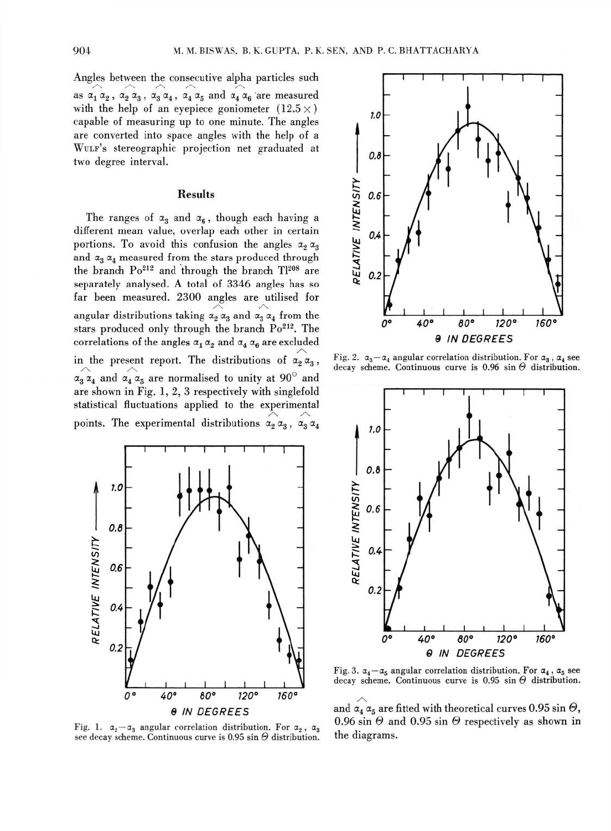Angles between the consecutive alpha particles such as  $\alpha_1 \alpha_2$ ,  $\alpha_2 \alpha_3$ ,  $\alpha_3 \alpha_4$ ,  $\alpha_4 \alpha_5$  and  $\alpha_4 \alpha_6$  are measured with the help of an eyepiece goniometer  $(12.5 \times)$ capable of measuring up to one minute. The angles are converted into space angles with the help of a **WULF'S** stereographic projection net graduated at two degree interval.

### **Results**

The ranges of  $\alpha_3$  and  $\alpha_6$ , though each having a different mean value, overlap each other in certain portions. To avoid this confusion the angles  $a_2 a_3$ and  $\alpha_3 \alpha_4$  measured from the stars produced through the branch  $Po^{212}$  and through the branch  $T1^{208}$  are separately analysed. A total of 3346 angles has so far been measured. 2300 angles are utilised for angular distributions taking  $\alpha_2 \alpha_3$  and  $\alpha_3 \alpha_4$  from the stars produced only through the branch Po<sup>212</sup>. The correlations of the angles  $\alpha_1 \alpha_2$  and  $\alpha_4 \alpha_6$  are excluded in the present report. The distributions of  $a_2 a_3$ ,  $\alpha_3 \alpha_4$  and  $\alpha_4 \alpha_5$  are normalised to unity at  $90^\circ$  and are shown in Fig. 1, 2, 3 respectively with singlefold statistical fluctuations applied to the experimental points. The experimental distributions  $a_2 a_3$ ,  $a_3 a_4$ 



Fig. 1.  $\alpha_2 - \alpha_3$  angular correlation distribution. For  $\alpha_2$ ,  $\alpha_3$ see decay scheme. Continuous curve is  $0.95 \sin \Theta$  distribution.



**Fig. 2.**  $\alpha_3 - \alpha_4$  angular correlation distribution. For  $\alpha_3$ ,  $\alpha_4$  see decay scheme. Continuous curve is  $0.96 \sin \Theta$  distribution.



Fig. 3.  $a_4 - a_5$  angular correlation distribution. For  $a_4$ ,  $a_5$  see **decay scheme. Continuous curve is 0.95 sin** *0* **distribution.** 

**/ x**  and  $\alpha_4 \alpha_5$  are fitted with theoretical curves 0.95 sin  $\vartheta$ , 0.96 sin  $\Theta$  and 0.95 sin  $\Theta$  respectively as shown in the diagrams.